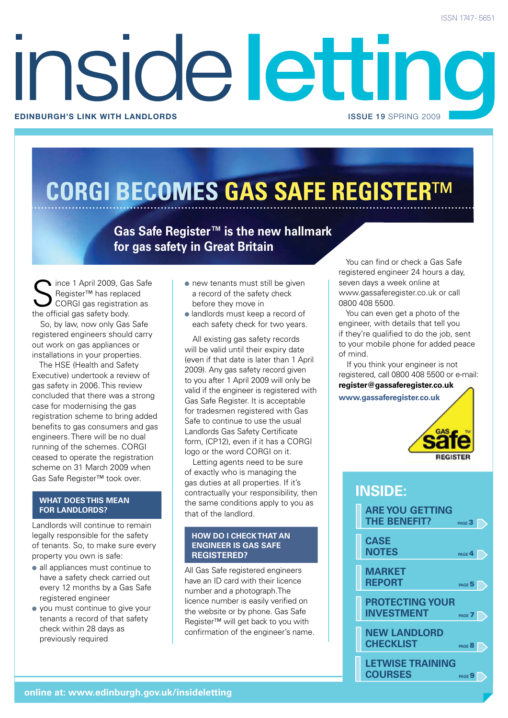## Inside letting **Edinburgh's link with landlords** issue 19 SPRING 2009

## **CORGI BECOMES GAS SAFE REGISTER**™

**Gas Safe Register™ is the new hallmark for gas safety in Great Britain**

ince 1 April 2009, Gas Safe Register™ has replaced CORGI gas registration as the official gas safety body.

So, by law, now only Gas Safe registered engineers should carry out work on gas appliances or installations in your properties.

The HSE (Health and Safety Executive) undertook a review of gas safety in 2006. This review concluded that there was a strong case for modernising the gas registration scheme to bring added benefits to gas consumers and gas engineers. There will be no dual running of the schemes. CORGI ceased to operate the registration scheme on 31 March 2009 when Gas Safe Register™ took over.

#### **WHAT DOES THIS MEAN FOR LANDLORDS?**

Landlords will continue to remain legally responsible for the safety of tenants. So, to make sure every property you own is safe:

- all appliances must continue to have a safety check carried out every 12 months by a Gas Safe registered engineer
- you must continue to give your tenants a record of that safety check within 28 days as previously required
- $\bullet$  new tenants must still be given a record of the safety check before they move in
- landlords must keep a record of each safety check for two years.

All existing gas safety records will be valid until their expiry date (even if that date is later than 1 April 2009). Any gas safety record given to you after 1 April 2009 will only be valid if the engineer is registered with Gas Safe Register. It is acceptable for tradesmen registered with Gas Safe to continue to use the usual Landlords Gas Safety Certificate form, (CP12), even if it has a CORGI logo or the word CORGI on it.

Letting agents need to be sure of exactly who is managing the gas duties at all properties. If it's contractually your responsibility, then the same conditions apply to you as that of the landlord.

#### **HOW DO I CHECK THAT AN ENGINEER IS GAS SAFE REGISTERED?**

All Gas Safe registered engineers have an ID card with their licence number and a photograph.The licence number is easily verified on the website or by phone. Gas Safe Register™ will get back to you with confirmation of the engineer's name.

You can find or check a Gas Safe registered engineer 24 hours a day, seven days a week online at www.gassaferegister.co.uk or call 0800 408 5500.

You can even get a photo of the engineer, with details that tell you if they're qualified to do the job, sent to your mobile phone for added peace of mind.

If you think your engineer is not registered, call 0800 408 5500 or e-mail: **register@gassaferegister.co.uk**

**www.gassaferegister.co.uk**



#### **inside:**

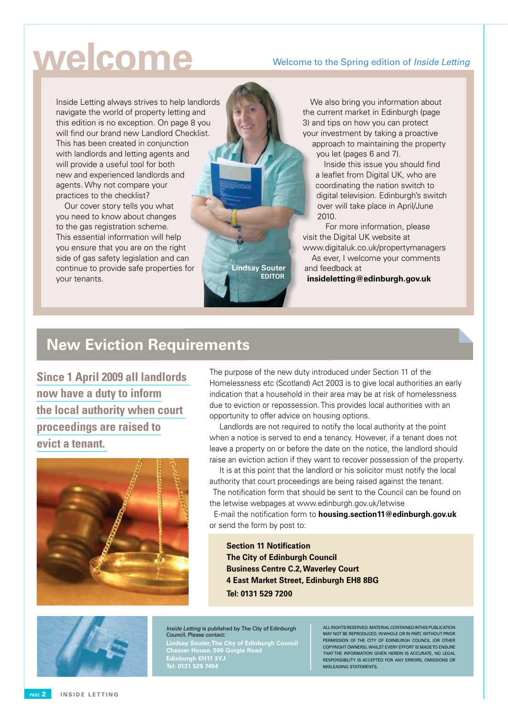## **welcome**

#### Welcome to the Spring edition of *Inside Letting*

Inside Letting always strives to help landlords navigate the world of property letting and this edition is no exception. On page 8 you will find our brand new Landlord Checklist. This has been created in conjunction with landlords and letting agents and will provide a useful tool for both new and experienced landlords and agents. Why not compare your practices to the checklist?

Our cover story tells you what you need to know about changes to the gas registration scheme. This essential information will help you ensure that you are on the right side of gas safety legislation and can continue to provide safe properties for your tenants.

**Lindsay Souter Editor**

the current market in Edinburgh (page 3) and tips on how you can protect your investment by taking a proactive approach to maintaining the property you let (pages 6 and 7). Inside this issue you should find

We also bring you information about

a leaflet from Digital UK, who are coordinating the nation switch to digital television. Edinburgh's switch over will take place in April/June 2010.

For more information, please visit the Digital UK website at www.digitaluk.co.uk/propertymanagers As ever, I welcome your comments and feedback at **insideletting@edinburgh.gov.uk**

#### **New Eviction Requirements**

**Since 1 April 2009 all landlords now have a duty to inform the local authority when court proceedings are raised to evict a tenant.**



The purpose of the new duty introduced under Section 11 of the Homelessness etc (Scotland) Act 2003 is to give local authorities an early indication that a household in their area may be at risk of homelessness due to eviction or repossession. This provides local authorities with an opportunity to offer advice on housing options.

 Landlords are not required to notify the local authority at the point when a notice is served to end a tenancy. However, if a tenant does not leave a property on or before the date on the notice, the landlord should raise an eviction action if they want to recover possession of the property.

 It is at this point that the landlord or his solicitor must notify the local authority that court proceedings are being raised against the tenant. The notification form that should be sent to the Council can be found on the letwise webpages at www.edinburgh.gov.uk/letwise

 E-mail the notification form to **housing.section11@edinburgh.gov.uk** or send the form by post to:

**Section 11 Notification The City of Edinburgh Council Business Centre C.2, Waverley Court 4 East Market Street, Edinburgh EH8 8BG Tel: 0131 529 7200**



Inside Letting is published by The City of Edinburgh Council. Please contact:

**Lindsay Souter, The City of Edinburgh Council Chesser House, 500 Gorgie Road Edinburgh EH11 3YJ Tel: 0131 529 7454**

All rights reserved. Material contained in this publication may not be reproduced, in whole or in part, without prior permission of the City of Edinburgh Council (OR OTHER COPYRIGHT OWNERS). Whilst every effort is made to ensure that the information given herein is accurate, no legal responsibility is accepted for any errors, omissions or misleading statements.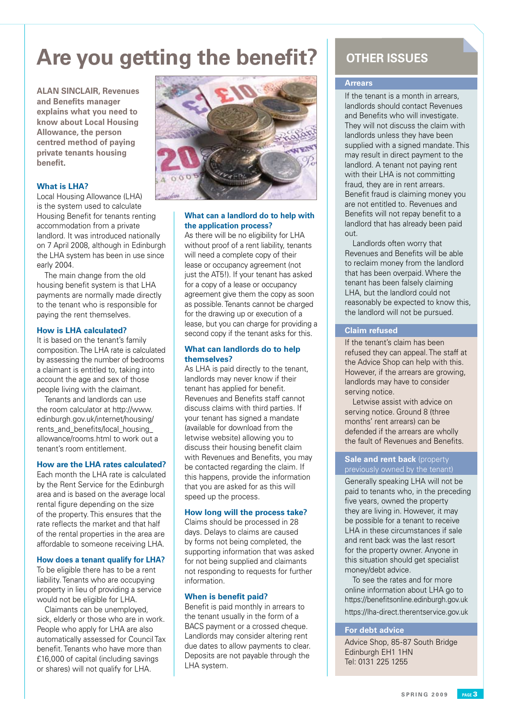### **Are you getting the benefit?** OTHER ISSUES

**ALAN SINCLAIR, Revenues and Benefits manager explains what you need to know about Local Housing Allowance, the person centred method of paying private tenants housing benefit.**

#### **What is LHA?**

Local Housing Allowance (LHA) is the system used to calculate Housing Benefit for tenants renting accommodation from a private landlord. It was introduced nationally on 7 April 2008, although in Edinburgh the LHA system has been in use since early 2004.

The main change from the old housing benefit system is that LHA payments are normally made directly to the tenant who is responsible for paying the rent themselves.

#### **How is LHA calculated?**

It is based on the tenant's family composition. The LHA rate is calculated by assessing the number of bedrooms a claimant is entitled to, taking into account the age and sex of those people living with the claimant.

Tenants and landlords can use the room calculator at http://www. edinburgh.gov.uk/internet/housing/ rents\_and\_benefits/local\_housing allowance/rooms.html to work out a tenant's room entitlement.

#### **How are the LHA rates calculated?**

Each month the LHA rate is calculated by the Rent Service for the Edinburgh area and is based on the average local rental figure depending on the size of the property. This ensures that the rate reflects the market and that half of the rental properties in the area are affordable to someone receiving LHA.

#### **How does a tenant qualify for LHA?**

To be eligible there has to be a rent liability. Tenants who are occupying property in lieu of providing a service would not be eligible for LHA.

Claimants can be unemployed, sick, elderly or those who are in work. People who apply for LHA are also automatically assessed for Council Tax benefit. Tenants who have more than £16,000 of capital (including savings or shares) will not qualify for LHA.



#### **What can a landlord do to help with the application process?**

As there will be no eligibility for LHA without proof of a rent liability, tenants will need a complete copy of their lease or occupancy agreement (not just the AT5!). If your tenant has asked for a copy of a lease or occupancy agreement give them the copy as soon as possible. Tenants cannot be charged for the drawing up or execution of a lease, but you can charge for providing a second copy if the tenant asks for this.

#### **What can landlords do to help themselves?**

As LHA is paid directly to the tenant, landlords may never know if their tenant has applied for benefit. Revenues and Benefits staff cannot discuss claims with third parties. If your tenant has signed a mandate (available for download from the letwise website) allowing you to discuss their housing benefit claim with Revenues and Benefits, you may be contacted regarding the claim. If this happens, provide the information that you are asked for as this will speed up the process.

#### **How long will the process take?**

Claims should be processed in 28 days. Delays to claims are caused by forms not being completed, the supporting information that was asked for not being supplied and claimants not responding to requests for further information.

#### **When is benefit paid?**

Benefit is paid monthly in arrears to the tenant usually in the form of a BACS payment or a crossed cheque. Landlords may consider altering rent due dates to allow payments to clear. Deposits are not payable through the LHA system.

#### **Arrears**

If the tenant is a month in arrears, landlords should contact Revenues and Benefits who will investigate. They will not discuss the claim with landlords unless they have been supplied with a signed mandate. This may result in direct payment to the landlord. A tenant not paying rent with their LHA is not committing fraud, they are in rent arrears. Benefit fraud is claiming money you are not entitled to. Revenues and Benefits will not repay benefit to a landlord that has already been paid out.

Landlords often worry that Revenues and Benefits will be able to reclaim money from the landlord that has been overpaid. Where the tenant has been falsely claiming LHA, but the landlord could not reasonably be expected to know this, the landlord will not be pursued.

#### **Claim refused**

If the tenant's claim has been refused they can appeal. The staff at the Advice Shop can help with this. However, if the arrears are growing, landlords may have to consider serving notice.

Letwise assist with advice on serving notice. Ground 8 (three months' rent arrears) can be defended if the arrears are wholly the fault of Revenues and Benefits.

#### **Sale and rent back** (property previously owned by the tenant)

Generally speaking LHA will not be paid to tenants who, in the preceding five years, owned the property they are living in. However, it may be possible for a tenant to receive LHA in these circumstances if sale and rent back was the last resort for the property owner. Anyone in this situation should get specialist money/debt advice.

To see the rates and for more online information about LHA go to https://benefitsonline.edinburgh.gov.uk https://lha-direct.therentservice.gov.uk

#### **For debt advice**

Advice Shop, 85-87 South Bridge Edinburgh EH1 1HN Tel: 0131 225 1255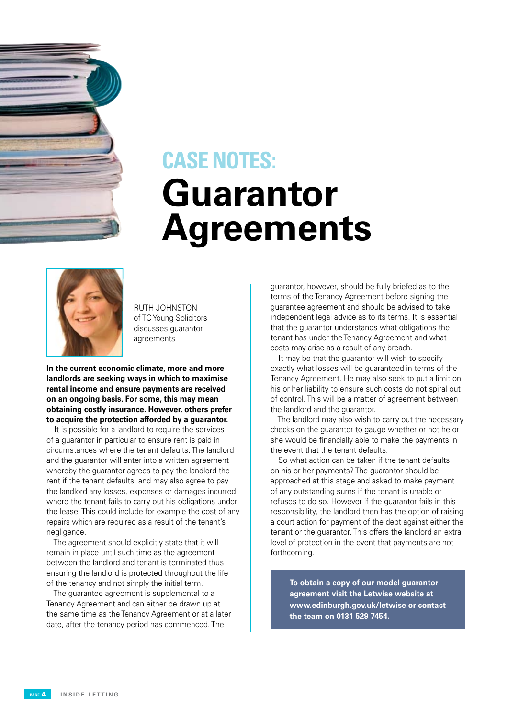## **Guarantor Agreements CASE NOTES:**



RUTH JOHNSTON of TC Young Solicitors discusses guarantor agreements

**In the current economic climate, more and more landlords are seeking ways in which to maximise rental income and ensure payments are received on an ongoing basis. For some, this may mean obtaining costly insurance. However, others prefer to acquire the protection afforded by a guarantor.**

It is possible for a landlord to require the services of a guarantor in particular to ensure rent is paid in circumstances where the tenant defaults. The landlord and the guarantor will enter into a written agreement whereby the guarantor agrees to pay the landlord the rent if the tenant defaults, and may also agree to pay the landlord any losses, expenses or damages incurred where the tenant fails to carry out his obligations under the lease. This could include for example the cost of any repairs which are required as a result of the tenant's negligence.

The agreement should explicitly state that it will remain in place until such time as the agreement between the landlord and tenant is terminated thus ensuring the landlord is protected throughout the life of the tenancy and not simply the initial term.

The guarantee agreement is supplemental to a Tenancy Agreement and can either be drawn up at the same time as the Tenancy Agreement or at a later date, after the tenancy period has commenced. The

guarantor, however, should be fully briefed as to the terms of the Tenancy Agreement before signing the guarantee agreement and should be advised to take independent legal advice as to its terms. It is essential that the guarantor understands what obligations the tenant has under the Tenancy Agreement and what costs may arise as a result of any breach.

It may be that the guarantor will wish to specify exactly what losses will be guaranteed in terms of the Tenancy Agreement. He may also seek to put a limit on his or her liability to ensure such costs do not spiral out of control. This will be a matter of agreement between the landlord and the guarantor.

The landlord may also wish to carry out the necessary checks on the guarantor to gauge whether or not he or she would be financially able to make the payments in the event that the tenant defaults.

So what action can be taken if the tenant defaults on his or her payments? The guarantor should be approached at this stage and asked to make payment of any outstanding sums if the tenant is unable or refuses to do so. However if the guarantor fails in this responsibility, the landlord then has the option of raising a court action for payment of the debt against either the tenant or the guarantor. This offers the landlord an extra level of protection in the event that payments are not forthcoming.

**To obtain a copy of our model guarantor agreement visit the Letwise website at www.edinburgh.gov.uk/letwise or contact the team on 0131 529 7454.**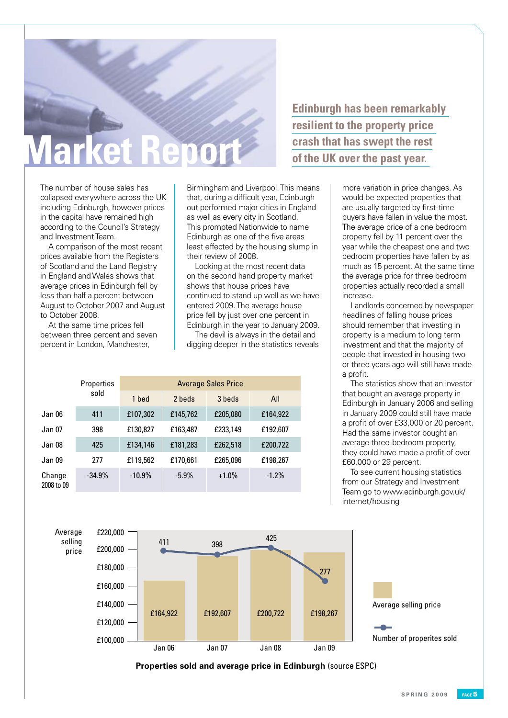## **Market Report**

The number of house sales has collapsed everywhere across the UK including Edinburgh, however prices in the capital have remained high according to the Council's Strategy and Investment Team.

A comparison of the most recent prices available from the Registers of Scotland and the Land Registry in England and Wales shows that average prices in Edinburgh fell by less than half a percent between August to October 2007 and August to October 2008.

At the same time prices fell between three percent and seven percent in London, Manchester,

Birmingham and Liverpool. This means that, during a difficult year, Edinburgh out performed major cities in England as well as every city in Scotland. This prompted Nationwide to name Edinburgh as one of the five areas least effected by the housing slump in their review of 2008.

Looking at the most recent data on the second hand property market shows that house prices have continued to stand up well as we have entered 2009. The average house price fell by just over one percent in Edinburgh in the year to January 2009.

The devil is always in the detail and digging deeper in the statistics reveals

|                      | <b>Properties</b><br>sold | <b>Average Sales Price</b> |          |          |          |
|----------------------|---------------------------|----------------------------|----------|----------|----------|
|                      |                           | 1 bed                      | 2 beds   | 3 beds   | All      |
| Jan 06               | 411                       | £107,302                   | £145,762 | £205,080 | £164,922 |
| Jan 07               | 398                       | £130,827                   | £163,487 | £233,149 | £192,607 |
| Jan 08               | 425                       | £134,146                   | £181,283 | £262,518 | £200,722 |
| Jan 09               | 277                       | £119,562                   | £170,661 | £265,096 | £198,267 |
| Change<br>2008 to 09 | $-34.9%$                  | $-10.9%$                   | $-5.9\%$ | $+1.0%$  | $-1.2%$  |

**Edinburgh has been remarkably resilient to the property price crash that has swept the rest of the UK over the past year.** 

> more variation in price changes. As would be expected properties that are usually targeted by first-time buyers have fallen in value the most. The average price of a one bedroom property fell by 11 percent over the year while the cheapest one and two bedroom properties have fallen by as much as 15 percent. At the same time the average price for three bedroom properties actually recorded a small increase.

> Landlords concerned by newspaper headlines of falling house prices should remember that investing in property is a medium to long term investment and that the majority of people that invested in housing two or three years ago will still have made a profit.

> The statistics show that an investor that bought an average property in Edinburgh in January 2006 and selling in January 2009 could still have made a profit of over £33,000 or 20 percent. Had the same investor bought an average three bedroom property, they could have made a profit of over £60,000 or 29 percent.

To see current housing statistics from our Strategy and Investment Team go to www.edinburgh.gov.uk/ internet/housing



**Properties sold and average price in Edinburgh** (source ESPC)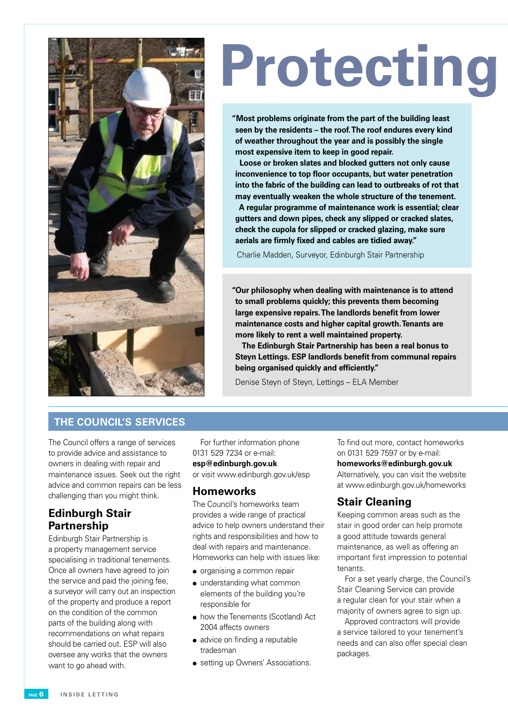

# **Protecting**

**"Most problems originate from the part of the building least seen by the residents – the roof. The roof endures every kind of weather throughout the year and is possibly the single most expensive item to keep in good repair.**

**Loose or broken slates and blocked gutters not only cause inconvenience to top floor occupants, but water penetration into the fabric of the building can lead to outbreaks of rot that may eventually weaken the whole structure of the tenement. A regular programme of maintenance work is essential; clear gutters and down pipes, check any slipped or cracked slates, check the cupola for slipped or cracked glazing, make sure aerials are firmly fixed and cables are tidied away."**

Charlie Madden, Surveyor, Edinburgh Stair Partnership

**"Our philosophy when dealing with maintenance is to attend to small problems quickly; this prevents them becoming large expensive repairs. The landlords benefit from lower maintenance costs and higher capital growth. Tenants are more likely to rent a well maintained property.**

 **The Edinburgh Stair Partnership has been a real bonus to Steyn Lettings. ESP landlords benefit from communal repairs being organised quickly and efficiently."**

Denise Steyn of Steyn, Lettings – ELA Member

#### **THE COUNCIL'S SERVICES**

The Council offers a range of services to provide advice and assistance to owners in dealing with repair and maintenance issues. Seek out the right advice and common repairs can be less challenging than you might think.

#### **Edinburgh Stair Partnership**

Edinburgh Stair Partnership is a property management service specialising in traditional tenements. Once all owners have agreed to join the service and paid the joining fee, a surveyor will carry out an inspection of the property and produce a report on the condition of the common parts of the building along with recommendations on what repairs should be carried out. ESP will also oversee any works that the owners want to go ahead with.

For further information phone 0131 529 7234 or e-mail:

#### **esp@edinburgh.gov.uk**

or visit www.edinburgh.gov.uk/esp

#### **Homeworks**

The Council's homeworks team provides a wide range of practical advice to help owners understand their rights and responsibilities and how to deal with repairs and maintenance. Homeworks can help with issues like:

- $\bullet$  organising a common repair
- understanding what common elements of the building you're responsible for
- how the Tenements (Scotland) Act 2004 affects owners
- advice on finding a reputable tradesman
- **.** setting up Owners' Associations.

To find out more, contact homeworks on 0131 529 7597 or by e-mail:

#### **homeworks@edinburgh.gov.uk**

Alternatively, you can visit the website at www.edinburgh.gov.uk/homeworks

#### **Stair Cleaning**

Keeping common areas such as the stair in good order can help promote a good attitude towards general maintenance, as well as offering an important first impression to potential tenants.

For a set yearly charge, the Council's Stair Cleaning Service can provide a regular clean for your stair when a majority of owners agree to sign up.

Approved contractors will provide a service tailored to your tenement's needs and can also offer special clean packages.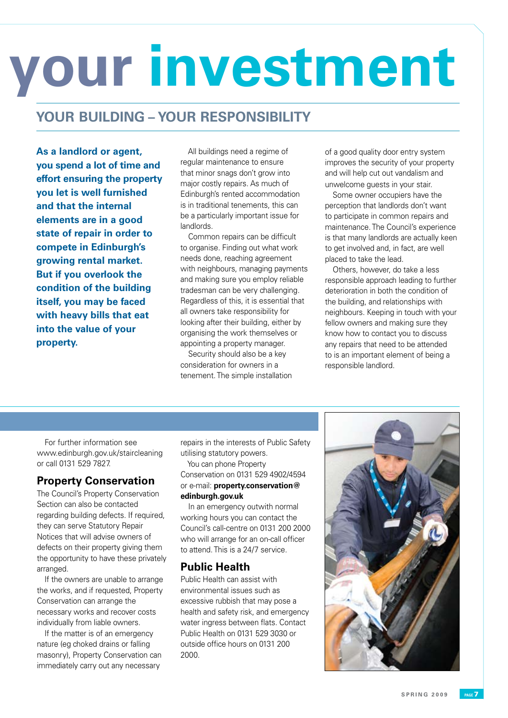# **Protecting your investment**

#### **YOUR BUILDING – YOUR RESPONSIBILITY**

**As a landlord or agent, you spend a lot of time and effort ensuring the property you let is well furnished and that the internal elements are in a good state of repair in order to compete in Edinburgh's growing rental market. But if you overlook the condition of the building itself, you may be faced with heavy bills that eat into the value of your property.**

All buildings need a regime of regular maintenance to ensure that minor snags don't grow into major costly repairs. As much of Edinburgh's rented accommodation is in traditional tenements, this can be a particularly important issue for landlords.

Common repairs can be difficult to organise. Finding out what work needs done, reaching agreement with neighbours, managing payments and making sure you employ reliable tradesman can be very challenging. Regardless of this, it is essential that all owners take responsibility for looking after their building, either by organising the work themselves or appointing a property manager.

Security should also be a key consideration for owners in a tenement. The simple installation of a good quality door entry system improves the security of your property and will help cut out vandalism and unwelcome guests in your stair.

Some owner occupiers have the perception that landlords don't want to participate in common repairs and maintenance. The Council's experience is that many landlords are actually keen to get involved and, in fact, are well placed to take the lead.

Others, however, do take a less responsible approach leading to further deterioration in both the condition of the building, and relationships with neighbours. Keeping in touch with your fellow owners and making sure they know how to contact you to discuss any repairs that need to be attended to is an important element of being a responsible landlord.

For further information see www.edinburgh.gov.uk/staircleaning or call 0131 529 7827.

#### **Property Conservation**

The Council's Property Conservation Section can also be contacted regarding building defects. If required, they can serve Statutory Repair Notices that will advise owners of defects on their property giving them the opportunity to have these privately arranged.

If the owners are unable to arrange the works, and if requested, Property Conservation can arrange the necessary works and recover costs individually from liable owners.

If the matter is of an emergency nature (eg choked drains or falling masonry), Property Conservation can immediately carry out any necessary

repairs in the interests of Public Safety utilising statutory powers.

You can phone Property Conservation on 0131 529 4902/4594 or e-mail: **property.conservation@ edinburgh.gov.uk**

In an emergency outwith normal working hours you can contact the Council's call-centre on 0131 200 2000 who will arrange for an on-call officer to attend. This is a 24/7 service.

#### **Public Health**

Public Health can assist with environmental issues such as excessive rubbish that may pose a health and safety risk, and emergency water ingress between flats. Contact Public Health on 0131 529 3030 or outside office hours on 0131 200 2000.

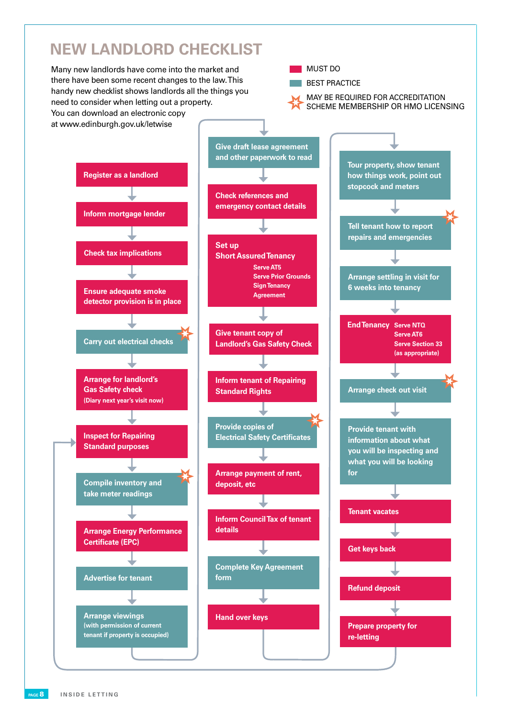### **NEW LANDLORD CHECKLIST.**

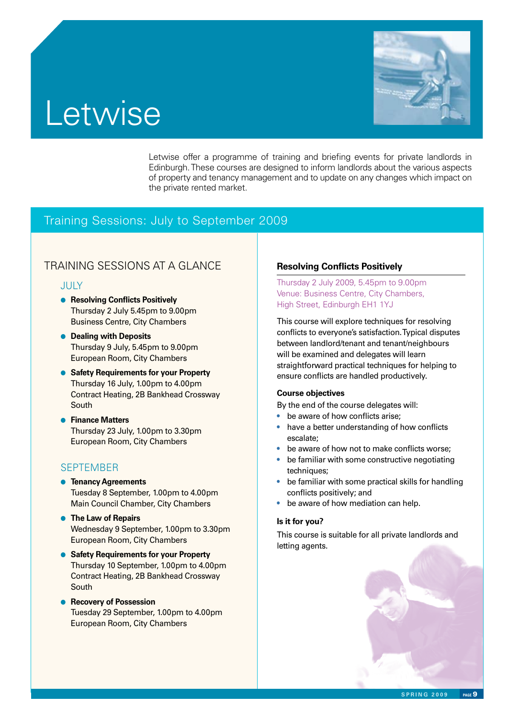

#### Letwise offer a programme of training and briefing events for private landlords in Edinburgh. These courses are designed to inform landlords about the various aspects of property and tenancy management and to update on any changes which impact on the private rented market.

#### Training Sessions: July to September 2009

#### TRAINING SESSIONS AT A GLANCE **Resolving Conflicts Positively**

**Letwise** 

#### JULY

- **e** Resolving Conflicts Positively Thursday 2 July 5.45pm to 9.00pm Business Centre, City Chambers
- **Dealing with Deposits**  Thursday 9 July, 5.45pm to 9.00pm European Room, City Chambers
- **Safety Requirements for your Property**  Thursday 16 July, 1.00pm to 4.00pm Contract Heating, 2B Bankhead Crossway South
- **e** Finance Matters Thursday 23 July, 1.00pm to 3.30pm European Room, City Chambers

#### **SEPTEMBER**

- **e** Tenancy Agreements Tuesday 8 September, 1.00pm to 4.00pm Main Council Chamber, City Chambers
- **The Law of Repairs**  Wednesday 9 September, 1.00pm to 3.30pm European Room, City Chambers
- **Safety Requirements for your Property**  Thursday 10 September, 1.00pm to 4.00pm Contract Heating, 2B Bankhead Crossway South
- **e** Recovery of Possession Tuesday 29 September, 1.00pm to 4.00pm European Room, City Chambers

Thursday 2 July 2009, 5.45pm to 9.00pm Venue: Business Centre, City Chambers, High Street, Edinburgh EH1 1YJ

This course will explore techniques for resolving conflicts to everyone's satisfaction. Typical disputes between landlord/tenant and tenant/neighbours will be examined and delegates will learn straightforward practical techniques for helping to ensure conflicts are handled productively.

#### **Course objectives**

By the end of the course delegates will:

- be aware of how conflicts arise:
- have a better understanding of how conflicts escalate;
- be aware of how not to make conflicts worse;
- be familiar with some constructive negotiating techniques;
- be familiar with some practical skills for handling conflicts positively; and
- be aware of how mediation can help.

#### **Is it for you?**

This course is suitable for all private landlords and letting agents.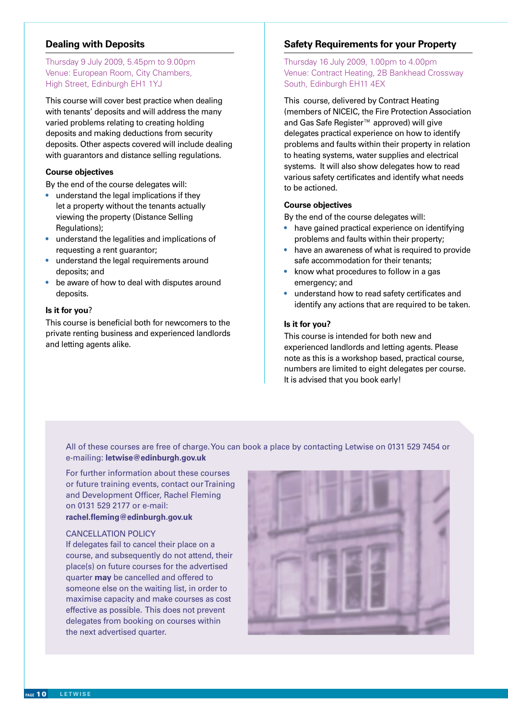#### **Dealing with Deposits**

#### Thursday 9 July 2009, 5.45pm to 9.00pm Venue: European Room, City Chambers, High Street, Edinburgh EH1 1YJ

This course will cover best practice when dealing with tenants' deposits and will address the many varied problems relating to creating holding deposits and making deductions from security deposits. Other aspects covered will include dealing with guarantors and distance selling regulations.

#### **Course objectives**

By the end of the course delegates will:

- understand the legal implications if they let a property without the tenants actually viewing the property (Distance Selling Regulations);
- understand the legalities and implications of requesting a rent guarantor;
- understand the legal requirements around deposits; and
- be aware of how to deal with disputes around deposits.

#### **Is it for you**?

This course is beneficial both for newcomers to the private renting business and experienced landlords and letting agents alike.

#### **Safety Requirements for your Property**

Thursday 16 July 2009, 1.00pm to 4.00pm Venue: Contract Heating, 2B Bankhead Crossway South, Edinburgh EH11 4EX

This course, delivered by Contract Heating (members of NICEIC, the Fire Protection Association and Gas Safe Register™ approved) will give delegates practical experience on how to identify problems and faults within their property in relation to heating systems, water supplies and electrical systems. It will also show delegates how to read various safety certificates and identify what needs to be actioned.

#### **Course objectives**

By the end of the course delegates will:

- have gained practical experience on identifying problems and faults within their property;
- have an awareness of what is required to provide safe accommodation for their tenants;
- know what procedures to follow in a gas emergency; and
- understand how to read safety certificates and identify any actions that are required to be taken.

#### **Is it for you?**

This course is intended for both new and experienced landlords and letting agents. Please note as this is a workshop based, practical course, numbers are limited to eight delegates per course. It is advised that you book early!

All of these courses are free of charge. You can book a place by contacting Letwise on 0131 529 7454 or e-mailing: **letwise@edinburgh.gov.uk**

For further information about these courses or future training events, contact our Training and Development Officer, Rachel Fleming on 0131 529 2177 or e-mail: **rachel.fleming@edinburgh.gov.uk**

#### CANCELLATION POLICY

If delegates fail to cancel their place on a course, and subsequently do not attend, their place(s) on future courses for the advertised quarter **may** be cancelled and offered to someone else on the waiting list, in order to maximise capacity and make courses as cost effective as possible. This does not prevent delegates from booking on courses within the next advertised quarter.

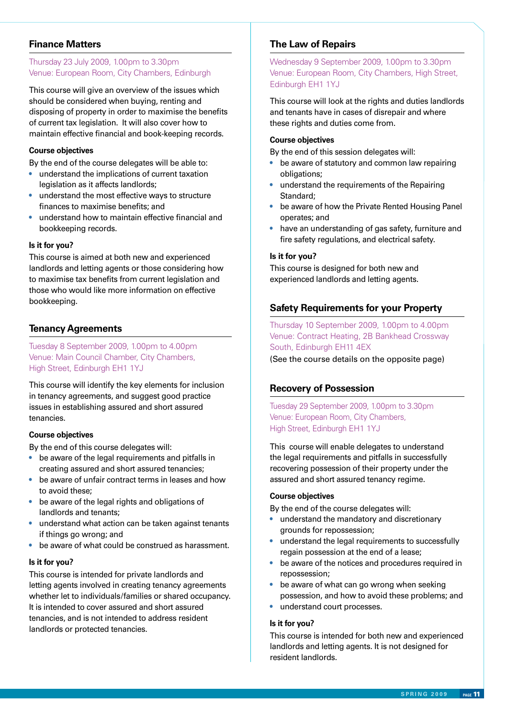#### **Finance Matters**

#### Thursday 23 July 2009, 1.00pm to 3.30pm Venue: European Room, City Chambers, Edinburgh

This course will give an overview of the issues which should be considered when buying, renting and disposing of property in order to maximise the benefits of current tax legislation. It will also cover how to maintain effective financial and book-keeping records.

#### **Course objectives**

By the end of the course delegates will be able to:

- understand the implications of current taxation legislation as it affects landlords;
- understand the most effective ways to structure finances to maximise benefits; and
- understand how to maintain effective financial and bookkeeping records.

#### **Is it for you?**

This course is aimed at both new and experienced landlords and letting agents or those considering how to maximise tax benefits from current legislation and those who would like more information on effective bookkeeping.

#### **Tenancy Agreements**

Tuesday 8 September 2009, 1.00pm to 4.00pm Venue: Main Council Chamber, City Chambers, High Street, Edinburgh EH1 1YJ

This course will identify the key elements for inclusion in tenancy agreements, and suggest good practice issues in establishing assured and short assured tenancies.

#### **Course objectives**

By the end of this course delegates will:

- be aware of the legal requirements and pitfalls in creating assured and short assured tenancies;
- be aware of unfair contract terms in leases and how to avoid these;
- be aware of the legal rights and obligations of landlords and tenants;
- understand what action can be taken against tenants if things go wrong; and
- be aware of what could be construed as harassment.

#### **Is it for you?**

This course is intended for private landlords and letting agents involved in creating tenancy agreements whether let to individuals/families or shared occupancy. It is intended to cover assured and short assured tenancies, and is not intended to address resident landlords or protected tenancies.

#### **The Law of Repairs**

Wednesday 9 September 2009, 1.00pm to 3.30pm Venue: European Room, City Chambers, High Street, Edinburgh EH1 1YJ

This course will look at the rights and duties landlords and tenants have in cases of disrepair and where these rights and duties come from.

#### **Course objectives**

By the end of this session delegates will:

- be aware of statutory and common law repairing obligations;
- understand the requirements of the Repairing Standard;
- be aware of how the Private Rented Housing Panel operates; and
- have an understanding of gas safety, furniture and fire safety regulations, and electrical safety.

#### **Is it for you?**

This course is designed for both new and experienced landlords and letting agents.

#### **Safety Requirements for your Property**

Thursday 10 September 2009, 1.00pm to 4.00pm Venue: Contract Heating, 2B Bankhead Crossway South, Edinburgh EH11 4EX (See the course details on the opposite page)

#### **Recovery of Possession**

Tuesday 29 September 2009, 1.00pm to 3.30pm Venue: European Room, City Chambers, High Street, Edinburgh EH1 1YJ

This course will enable delegates to understand the legal requirements and pitfalls in successfully recovering possession of their property under the assured and short assured tenancy regime.

#### **Course objectives**

By the end of the course delegates will:

- understand the mandatory and discretionary grounds for repossession;
- understand the legal requirements to successfully regain possession at the end of a lease;
- be aware of the notices and procedures required in repossession;
- be aware of what can go wrong when seeking possession, and how to avoid these problems; and
- understand court processes.

#### **Is it for you?**

This course is intended for both new and experienced landlords and letting agents. It is not designed for resident landlords.